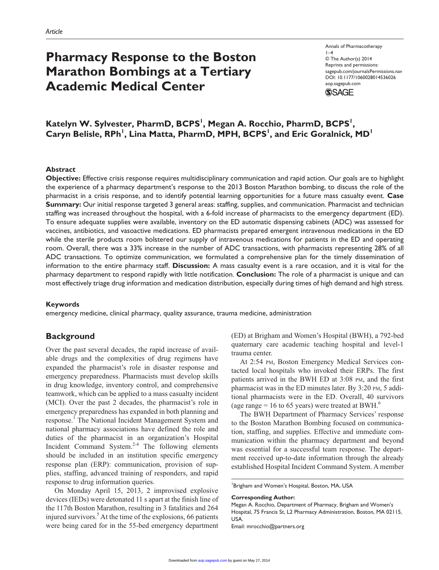# **Pharmacy Response to the Boston Marathon Bombings at a Tertiary Academic Medical Center**

Annals of Pharmacotherapy  $1-4$ © The Author(s) 2014 Reprints and permissions: sagepub.com/journalsPermissions.nav DOI: 10.1177/1060028014536026 aop.sagepub.com **SSAGE** 

Katelyn W. Sylvester, PharmD, BCPS<sup>I</sup>, Megan A. Rocchio, PharmD, BCPS<sup>I</sup>, Caryn Belisle, RPh<sup>1</sup>, Lina Matta, PharmD, MPH, BCPS<sup>1</sup>, and Eric Goralnick, MD<sup>1</sup>

## **Abstract**

**Objective:** Effective crisis response requires multidisciplinary communication and rapid action. Our goals are to highlight the experience of a pharmacy department's response to the 2013 Boston Marathon bombing, to discuss the role of the pharmacist in a crisis response, and to identify potential learning opportunities for a future mass casualty event. **Case Summary:** Our initial response targeted 3 general areas: staffing, supplies, and communication. Pharmacist and technician staffing was increased throughout the hospital, with a 6-fold increase of pharmacists to the emergency department (ED). To ensure adequate supplies were available, inventory on the ED automatic dispensing cabinets (ADC) was assessed for vaccines, antibiotics, and vasoactive medications. ED pharmacists prepared emergent intravenous medications in the ED while the sterile products room bolstered our supply of intravenous medications for patients in the ED and operating room. Overall, there was a 33% increase in the number of ADC transactions, with pharmacists representing 28% of all ADC transactions. To optimize communication, we formulated a comprehensive plan for the timely dissemination of information to the entire pharmacy staff. **Discussion:** A mass casualty event is a rare occasion, and it is vital for the pharmacy department to respond rapidly with little notification. **Conclusion:** The role of a pharmacist is unique and can most effectively triage drug information and medication distribution, especially during times of high demand and high stress.

#### **Keywords**

emergency medicine, clinical pharmacy, quality assurance, trauma medicine, administration

## **Background**

Over the past several decades, the rapid increase of available drugs and the complexities of drug regimens have expanded the pharmacist's role in disaster response and emergency preparedness. Pharmacists must develop skills in drug knowledge, inventory control, and comprehensive teamwork, which can be applied to a mass casualty incident (MCI). Over the past 2 decades, the pharmacist's role in emergency preparedness has expanded in both planning and response.<sup>1</sup> The National Incident Management System and national pharmacy associations have defined the role and duties of the pharmacist in an organization's Hospital Incident Command System. $2-4$  The following elements should be included in an institution specific emergency response plan (ERP): communication, provision of supplies, staffing, advanced training of responders, and rapid response to drug information queries.

On Monday April 15, 2013, 2 improvised explosive devices (IEDs) were detonated 11 s apart at the finish line of the 117th Boston Marathon, resulting in 3 fatalities and 264 injured survivors.<sup>5</sup> At the time of the explosions, 66 patients were being cared for in the 55-bed emergency department

(ED) at Brigham and Women's Hospital (BWH), a 792-bed quaternary care academic teaching hospital and level-1 trauma center.

At 2:54 pm, Boston Emergency Medical Services contacted local hospitals who invoked their ERPs. The first patients arrived in the BWH ED at 3:08 pm, and the first pharmacist was in the ED minutes later. By 3:20 pm, 5 additional pharmacists were in the ED. Overall, 40 survivors (age range  $= 16$  to 65 years) were treated at BWH.<sup>6</sup>

The BWH Department of Pharmacy Services' response to the Boston Marathon Bombing focused on communication, staffing, and supplies. Effective and immediate communication within the pharmacy department and beyond was essential for a successful team response. The department received up-to-date information through the already established Hospital Incident Command System. A member

**Corresponding Author:**

Email: [mrocchio@partners.org](mailto:mrocchio@partners.org)

<sup>&</sup>lt;sup>1</sup>Brigham and Women's Hospital, Boston, MA, USA

Megan A. Rocchio, Department of Pharmacy, Brigham and Women's Hospital, 75 Francis St, L2 Pharmacy Administration, Boston, MA 02115, USA.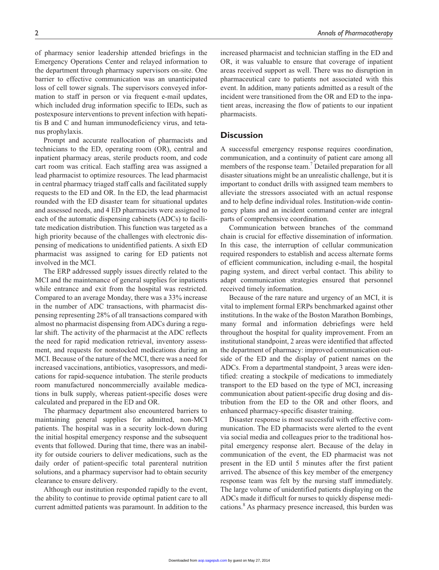of pharmacy senior leadership attended briefings in the Emergency Operations Center and relayed information to the department through pharmacy supervisors on-site. One barrier to effective communication was an unanticipated loss of cell tower signals. The supervisors conveyed information to staff in person or via frequent e-mail updates, which included drug information specific to IEDs, such as postexposure interventions to prevent infection with hepatitis B and C and human immunodeficiency virus, and tetanus prophylaxis.

Prompt and accurate reallocation of pharmacists and technicians to the ED, operating room (OR), central and inpatient pharmacy areas, sterile products room, and code cart room was critical. Each staffing area was assigned a lead pharmacist to optimize resources. The lead pharmacist in central pharmacy triaged staff calls and facilitated supply requests to the ED and OR. In the ED, the lead pharmacist rounded with the ED disaster team for situational updates and assessed needs, and 4 ED pharmacists were assigned to each of the automatic dispensing cabinets (ADCs) to facilitate medication distribution. This function was targeted as a high priority because of the challenges with electronic dispensing of medications to unidentified patients. A sixth ED pharmacist was assigned to caring for ED patients not involved in the MCI.

The ERP addressed supply issues directly related to the MCI and the maintenance of general supplies for inpatients while entrance and exit from the hospital was restricted. Compared to an average Monday, there was a 33% increase in the number of ADC transactions, with pharmacist dispensing representing 28% of all transactions compared with almost no pharmacist dispensing from ADCs during a regular shift. The activity of the pharmacist at the ADC reflects the need for rapid medication retrieval, inventory assessment, and requests for nonstocked medications during an MCI. Because of the nature of the MCI, there was a need for increased vaccinations, antibiotics, vasopressors, and medications for rapid-sequence intubation. The sterile products room manufactured noncommercially available medications in bulk supply, whereas patient-specific doses were calculated and prepared in the ED and OR.

The pharmacy department also encountered barriers to maintaining general supplies for admitted, non-MCI patients. The hospital was in a security lock-down during the initial hospital emergency response and the subsequent events that followed. During that time, there was an inability for outside couriers to deliver medications, such as the daily order of patient-specific total parenteral nutrition solutions, and a pharmacy supervisor had to obtain security clearance to ensure delivery.

Although our institution responded rapidly to the event, the ability to continue to provide optimal patient care to all current admitted patients was paramount. In addition to the increased pharmacist and technician staffing in the ED and OR, it was valuable to ensure that coverage of inpatient areas received support as well. There was no disruption in pharmaceutical care to patients not associated with this event. In addition, many patients admitted as a result of the incident were transitioned from the OR and ED to the inpatient areas, increasing the flow of patients to our inpatient pharmacists.

## **Discussion**

A successful emergency response requires coordination, communication, and a continuity of patient care among all members of the response team.<sup>7</sup> Detailed preparation for all disaster situations might be an unrealistic challenge, but it is important to conduct drills with assigned team members to alleviate the stressors associated with an actual response and to help define individual roles. Institution-wide contingency plans and an incident command center are integral parts of comprehensive coordination.

Communication between branches of the command chain is crucial for effective dissemination of information. In this case, the interruption of cellular communication required responders to establish and access alternate forms of efficient communication, including e-mail, the hospital paging system, and direct verbal contact. This ability to adapt communication strategies ensured that personnel received timely information.

Because of the rare nature and urgency of an MCI, it is vital to implement formal ERPs benchmarked against other institutions. In the wake of the Boston Marathon Bombings, many formal and information debriefings were held throughout the hospital for quality improvement. From an institutional standpoint, 2 areas were identified that affected the department of pharmacy: improved communication outside of the ED and the display of patient names on the ADCs. From a departmental standpoint, 3 areas were identified: creating a stockpile of medications to immediately transport to the ED based on the type of MCI, increasing communication about patient-specific drug dosing and distribution from the ED to the OR and other floors, and enhanced pharmacy-specific disaster training.

Disaster response is most successful with effective communication. The ED pharmacists were alerted to the event via social media and colleagues prior to the traditional hospital emergency response alert. Because of the delay in communication of the event, the ED pharmacist was not present in the ED until 5 minutes after the first patient arrived. The absence of this key member of the emergency response team was felt by the nursing staff immediately. The large volume of unidentified patients displaying on the ADCs made it difficult for nurses to quickly dispense medications.<sup>8</sup> As pharmacy presence increased, this burden was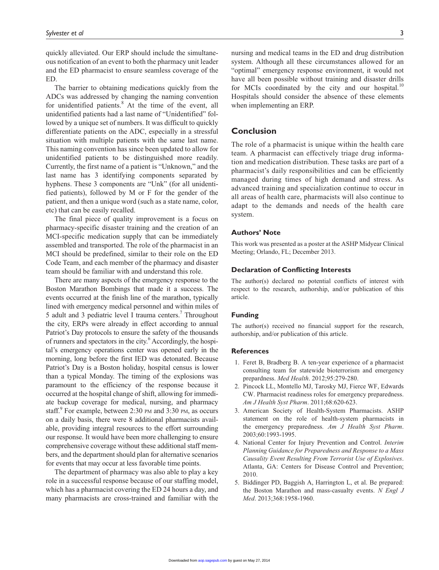quickly alleviated. Our ERP should include the simultaneous notification of an event to both the pharmacy unit leader and the ED pharmacist to ensure seamless coverage of the ED.

The barrier to obtaining medications quickly from the ADCs was addressed by changing the naming convention for unidentified patients.<sup>8</sup> At the time of the event, all unidentified patients had a last name of "Unidentified" followed by a unique set of numbers. It was difficult to quickly differentiate patients on the ADC, especially in a stressful situation with multiple patients with the same last name. This naming convention has since been updated to allow for unidentified patients to be distinguished more readily. Currently, the first name of a patient is "Unknown," and the last name has 3 identifying components separated by hyphens. These 3 components are "Unk" (for all unidentified patients), followed by M or F for the gender of the patient, and then a unique word (such as a state name, color, etc) that can be easily recalled.

The final piece of quality improvement is a focus on pharmacy-specific disaster training and the creation of an MCI-specific medication supply that can be immediately assembled and transported. The role of the pharmacist in an MCI should be predefined, similar to their role on the ED Code Team, and each member of the pharmacy and disaster team should be familiar with and understand this role.

There are many aspects of the emergency response to the Boston Marathon Bombings that made it a success. The events occurred at the finish line of the marathon, typically lined with emergency medical personnel and within miles of 5 adult and 3 pediatric level I trauma centers.<sup>7</sup> Throughout the city, ERPs were already in effect according to annual Patriot's Day protocols to ensure the safety of the thousands of runners and spectators in the city.<sup>6</sup> Accordingly, the hospital's emergency operations center was opened early in the morning, long before the first IED was detonated. Because Patriot's Day is a Boston holiday, hospital census is lower than a typical Monday. The timing of the explosions was paramount to the efficiency of the response because it occurred at the hospital change of shift, allowing for immediate backup coverage for medical, nursing, and pharmacy staff.<sup>9</sup> For example, between 2:30 PM and 3:30 PM, as occurs on a daily basis, there were 8 additional pharmacists available, providing integral resources to the effort surrounding our response. It would have been more challenging to ensure comprehensive coverage without these additional staff members, and the department should plan for alternative scenarios for events that may occur at less favorable time points.

The department of pharmacy was also able to play a key role in a successful response because of our staffing model, which has a pharmacist covering the ED 24 hours a day, and many pharmacists are cross-trained and familiar with the

nursing and medical teams in the ED and drug distribution system. Although all these circumstances allowed for an "optimal" emergency response environment, it would not have all been possible without training and disaster drills for MCIs coordinated by the city and our hospital. $10$ Hospitals should consider the absence of these elements when implementing an ERP.

# **Conclusion**

The role of a pharmacist is unique within the health care team. A pharmacist can effectively triage drug information and medication distribution. These tasks are part of a pharmacist's daily responsibilities and can be efficiently managed during times of high demand and stress. As advanced training and specialization continue to occur in all areas of health care, pharmacists will also continue to adapt to the demands and needs of the health care system.

### **Authors' Note**

This work was presented as a poster at the ASHP Midyear Clinical Meeting; Orlando, FL; December 2013.

## **Declaration of Conflicting Interests**

The author(s) declared no potential conflicts of interest with respect to the research, authorship, and/or publication of this article.

### **Funding**

The author(s) received no financial support for the research, authorship, and/or publication of this article.

#### **References**

- 1. Feret B, Bradberg B. A ten-year experience of a pharmacist consulting team for statewide bioterrorism and emergency prepardness. *Med Health*. 2012;95:279-280.
- 2. Pincock LL, Montello MJ, Tarosky MJ, Fierce WF, Edwards CW. Pharmacist readiness roles for emergency preparedness. *Am J Health Syst Pharm*. 2011;68:620-623.
- 3. American Society of Health-System Pharmacists. ASHP statement on the role of health-system pharmacists in the emergency preparedness. *Am J Health Syst Pharm*. 2003;60:1993-1995.
- 4. National Center for Injury Prevention and Control. *Interim Planning Guidance for Preparedness and Response to a Mass Causality Event Resulting From Terrorist Use of Explosives*. Atlanta, GA: Centers for Disease Control and Prevention; 2010.
- 5. Biddinger PD, Baggish A, Harrington L, et al. Be prepared: the Boston Marathon and mass-casualty events. *N Engl J Med*. 2013;368:1958-1960.